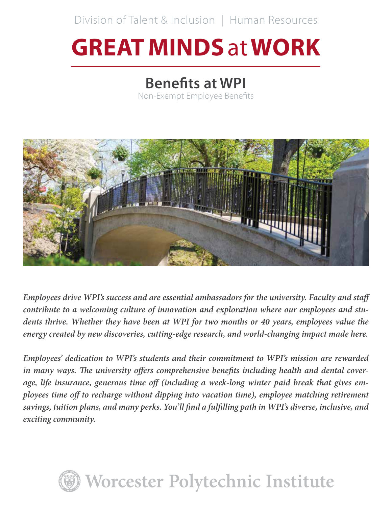Division of Talent & Inclusion | Human Resources

# **GREAT MINDS** at **WORK**

# **Benefits at WPI**

Non-Exempt Employee Benefits



*Employees drive WPI's success and are essential ambassadors for the university. Faculty and staff contribute to a welcoming culture of innovation and exploration where our employees and students thrive. Whether they have been at WPI for two months or 40 years, employees value the energy created by new discoveries, cutting-edge research, and world-changing impact made here.*

*Employees' dedication to WPI's students and their commitment to WPI's mission are rewarded in many ways. The university offers comprehensive benefits including health and dental coverage, life insurance, generous time off (including a week-long winter paid break that gives employees time off to recharge without dipping into vacation time), employee matching retirement savings, tuition plans, and many perks. You'll find a fulfilling path in WPI's diverse, inclusive, and exciting community.*

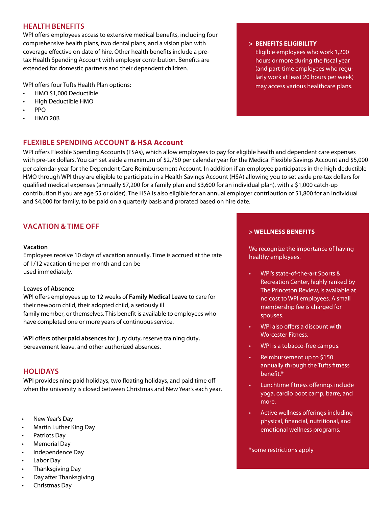# **HEALTH BENEFITS**

WPI offers employees access to extensive medical benefits, including four comprehensive health plans, two dental plans, and a vision plan with coverage effective on date of hire. Other health benefits include a pretax Health Spending Account with employer contribution. Benefits are extended for domestic partners and their dependent children.

WPI offers four Tufts Health Plan options:

- HMO \$1,000 Deductible
- High Deductible HMO
- PPO
- HMO 20B

# **FLEXIBLE SPENDING ACCOUNT & HSA Account**

WPI offers Flexible Spending Accounts (FSAs), which allow employees to pay for eligible health and dependent care expenses with pre-tax dollars. You can set aside a maximum of \$2,750 per calendar year for the Medical Flexible Savings Account and \$5,000 per calendar year for the Dependent Care Reimbursement Account. In addition if an employee participates in the high deductible HMO through WPI they are eligible to participate in a Health Savings Account (HSA) allowing you to set aside pre-tax dollars for qualified medical expenses (annually \$7,200 for a family plan and \$3,600 for an individual plan), with a \$1,000 catch-up contribution if you are age 55 or older). The HSA is also eligible for an annual employer contribution of \$1,800 for an individual and \$4,000 for family, to be paid on a quarterly basis and prorated based on hire date.

# **VACATION & TIME OFF**

#### **Vacation**

Employees receive 10 days of vacation annually. Time is accrued at the rate of 1/12 vacation time per month and can be used immediately.

#### **Leaves of Absence**

WPI offers employees up to 12 weeks of **Family Medical Leave** to care for their newborn child, their adopted child, a seriously ill family member, or themselves. This benefit is available to employees who have completed one or more years of continuous service.

WPI offers **other paid absences** for jury duty, reserve training duty, bereavement leave, and other authorized absences.

# **HOLIDAYS**

WPI provides nine paid holidays, two floating holidays, and paid time off when the university is closed between Christmas and New Year's each year.

- New Year's Day
- Martin Luther King Day
- Patriots Day
- Memorial Day
- Independence Day
- Labor Day
- Thanksgiving Day
- Day after Thanksgiving
- Christmas Day

#### **> BENEFITS ELIGIBILITY**

Eligible employees who work 1,200 hours or more during the fiscal year (and part-time employees who regularly work at least 20 hours per week) may access various healthcare plans.

#### **> WELLNESS BENEFITS**

We recognize the importance of having healthy employees.

- WPI's state-of-the-art Sports & Recreation Center, highly ranked by The Princeton Review, is available at no cost to WPI employees. A small membership fee is charged for spouses.
- WPI also offers a discount with Worcester Fitness.
- WPI is a tobacco-free campus.
- Reimbursement up to \$150 annually through the Tufts fitness benefit.\*
- Lunchtime fitness offerings include yoga, cardio boot camp, barre, and more.
- Active wellness offerings including physical, financial, nutritional, and emotional wellness programs.

\*some restrictions apply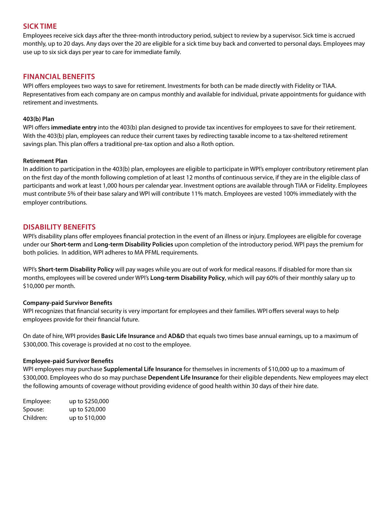# **SICK TIME**

Employees receive sick days after the three-month introductory period, subject to review by a supervisor. Sick time is accrued monthly, up to 20 days. Any days over the 20 are eligible for a sick time buy back and converted to personal days. Employees may use up to six sick days per year to care for immediate family.

# **FINANCIAL BENEFITS**

WPI offers employees two ways to save for retirement. Investments for both can be made directly with Fidelity or TIAA. Representatives from each company are on campus monthly and available for individual, private appointments for guidance with retirement and investments.

#### **403(b) Plan**

WPI offers immediate entry into the 403(b) plan designed to provide tax incentives for employees to save for their retirement. With the 403(b) plan, employees can reduce their current taxes by redirecting taxable income to a tax-sheltered retirement savings plan. This plan offers a traditional pre-tax option and also a Roth option.

#### **Retirement Plan**

In addition to participation in the 403(b) plan, employees are eligible to participate in WPI's employer contributory retirement plan on the first day of the month following completion of at least 12 months of continuous service, if they are in the eligible class of participants and work at least 1,000 hours per calendar year. Investment options are available through TIAA or Fidelity. Employees must contribute 5% of their base salary and WPI will contribute 11% match. Employees are vested 100% immediately with the employer contributions.

# **DISABILITY BENEFITS**

WPI's disability plans offer employees financial protection in the event of an illness or injury. Employees are eligible for coverage under our **Short-term** and **Long-term Disability Policies** upon completion of the introductory period. WPI pays the premium for both policies. In addition, WPI adheres to MA PFML requirements.

WPI's **Short-term Disability Policy** will pay wages while you are out of work for medical reasons. If disabled for more than six months, employees will be covered under WPI's **Long-term Disability Policy**, which will pay 60% of their monthly salary up to \$10,000 per month.

### **Company-paid Survivor Benefits**

WPI recognizes that financial security is very important for employees and their families. WPI offers several ways to help employees provide for their financial future.

On date of hire, WPI provides **Basic Life Insurance** and **AD&D** that equals two times base annual earnings, up to a maximum of \$300,000. This coverage is provided at no cost to the employee.

#### **Employee-paid Survivor Benefits**

WPI employees may purchase **Supplemental Life Insurance** for themselves in increments of \$10,000 up to a maximum of \$300,000. Employees who do so may purchase **Dependent Life Insurance** for their eligible dependents. New employees may elect the following amounts of coverage without providing evidence of good health within 30 days of their hire date.

Employee: up to \$250,000 Spouse: up to \$20,000 Children: up to \$10,000